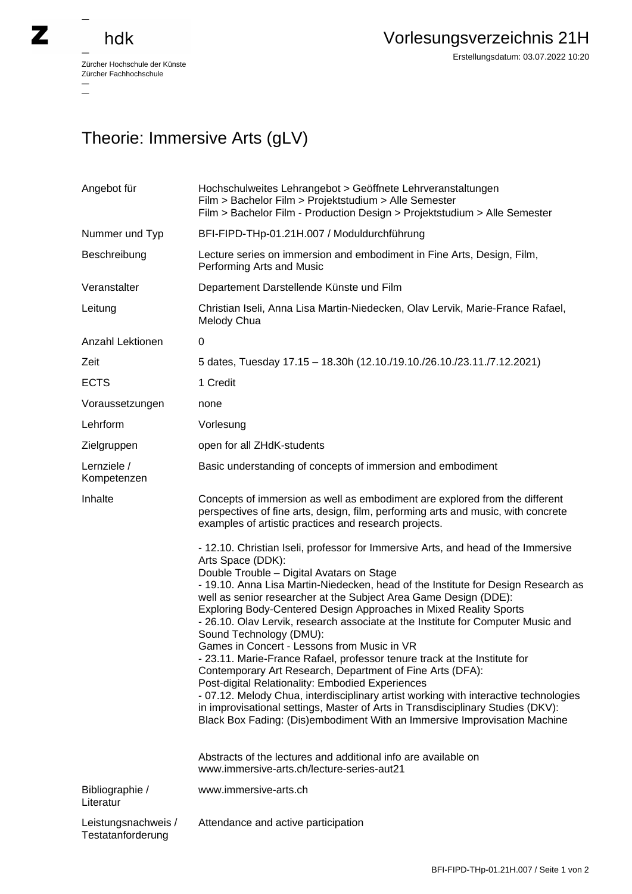## hdk

—

 $\overline{\phantom{a}}$ 

Zürcher Hochschule der Künste Zürcher Fachhochschule —

Erstellungsdatum: 03.07.2022 10:20

## Theorie: Immersive Arts (gLV)

| Angebot für                              | Hochschulweites Lehrangebot > Geöffnete Lehrveranstaltungen<br>Film > Bachelor Film > Projektstudium > Alle Semester<br>Film > Bachelor Film - Production Design > Projektstudium > Alle Semester                                                                                                                                                                                                                                                                                                                                                                                                                                                                                                                                                                                                                                                                                                                                                                                                                                                                                                                     |
|------------------------------------------|-----------------------------------------------------------------------------------------------------------------------------------------------------------------------------------------------------------------------------------------------------------------------------------------------------------------------------------------------------------------------------------------------------------------------------------------------------------------------------------------------------------------------------------------------------------------------------------------------------------------------------------------------------------------------------------------------------------------------------------------------------------------------------------------------------------------------------------------------------------------------------------------------------------------------------------------------------------------------------------------------------------------------------------------------------------------------------------------------------------------------|
| Nummer und Typ                           | BFI-FIPD-THp-01.21H.007 / Moduldurchführung                                                                                                                                                                                                                                                                                                                                                                                                                                                                                                                                                                                                                                                                                                                                                                                                                                                                                                                                                                                                                                                                           |
| Beschreibung                             | Lecture series on immersion and embodiment in Fine Arts, Design, Film,<br>Performing Arts and Music                                                                                                                                                                                                                                                                                                                                                                                                                                                                                                                                                                                                                                                                                                                                                                                                                                                                                                                                                                                                                   |
| Veranstalter                             | Departement Darstellende Künste und Film                                                                                                                                                                                                                                                                                                                                                                                                                                                                                                                                                                                                                                                                                                                                                                                                                                                                                                                                                                                                                                                                              |
| Leitung                                  | Christian Iseli, Anna Lisa Martin-Niedecken, Olav Lervik, Marie-France Rafael,<br>Melody Chua                                                                                                                                                                                                                                                                                                                                                                                                                                                                                                                                                                                                                                                                                                                                                                                                                                                                                                                                                                                                                         |
| Anzahl Lektionen                         | 0                                                                                                                                                                                                                                                                                                                                                                                                                                                                                                                                                                                                                                                                                                                                                                                                                                                                                                                                                                                                                                                                                                                     |
| Zeit                                     | 5 dates, Tuesday 17.15 - 18.30h (12.10./19.10./26.10./23.11./7.12.2021)                                                                                                                                                                                                                                                                                                                                                                                                                                                                                                                                                                                                                                                                                                                                                                                                                                                                                                                                                                                                                                               |
| <b>ECTS</b>                              | 1 Credit                                                                                                                                                                                                                                                                                                                                                                                                                                                                                                                                                                                                                                                                                                                                                                                                                                                                                                                                                                                                                                                                                                              |
| Voraussetzungen                          | none                                                                                                                                                                                                                                                                                                                                                                                                                                                                                                                                                                                                                                                                                                                                                                                                                                                                                                                                                                                                                                                                                                                  |
| Lehrform                                 | Vorlesung                                                                                                                                                                                                                                                                                                                                                                                                                                                                                                                                                                                                                                                                                                                                                                                                                                                                                                                                                                                                                                                                                                             |
| Zielgruppen                              | open for all ZHdK-students                                                                                                                                                                                                                                                                                                                                                                                                                                                                                                                                                                                                                                                                                                                                                                                                                                                                                                                                                                                                                                                                                            |
| Lernziele /<br>Kompetenzen               | Basic understanding of concepts of immersion and embodiment                                                                                                                                                                                                                                                                                                                                                                                                                                                                                                                                                                                                                                                                                                                                                                                                                                                                                                                                                                                                                                                           |
| Inhalte                                  | Concepts of immersion as well as embodiment are explored from the different<br>perspectives of fine arts, design, film, performing arts and music, with concrete<br>examples of artistic practices and research projects.                                                                                                                                                                                                                                                                                                                                                                                                                                                                                                                                                                                                                                                                                                                                                                                                                                                                                             |
|                                          | - 12.10. Christian Iseli, professor for Immersive Arts, and head of the Immersive<br>Arts Space (DDK):<br>Double Trouble - Digital Avatars on Stage<br>- 19.10. Anna Lisa Martin-Niedecken, head of the Institute for Design Research as<br>well as senior researcher at the Subject Area Game Design (DDE):<br>Exploring Body-Centered Design Approaches in Mixed Reality Sports<br>- 26.10. Olav Lervik, research associate at the Institute for Computer Music and<br>Sound Technology (DMU):<br>Games in Concert - Lessons from Music in VR<br>- 23.11. Marie-France Rafael, professor tenure track at the Institute for<br>Contemporary Art Research, Department of Fine Arts (DFA):<br>Post-digital Relationality: Embodied Experiences<br>- 07.12. Melody Chua, interdisciplinary artist working with interactive technologies<br>in improvisational settings, Master of Arts in Transdisciplinary Studies (DKV):<br>Black Box Fading: (Dis)embodiment With an Immersive Improvisation Machine<br>Abstracts of the lectures and additional info are available on<br>www.immersive-arts.ch/lecture-series-aut21 |
| Bibliographie /<br>Literatur             | www.immersive-arts.ch                                                                                                                                                                                                                                                                                                                                                                                                                                                                                                                                                                                                                                                                                                                                                                                                                                                                                                                                                                                                                                                                                                 |
| Leistungsnachweis /<br>Testatanforderung | Attendance and active participation                                                                                                                                                                                                                                                                                                                                                                                                                                                                                                                                                                                                                                                                                                                                                                                                                                                                                                                                                                                                                                                                                   |